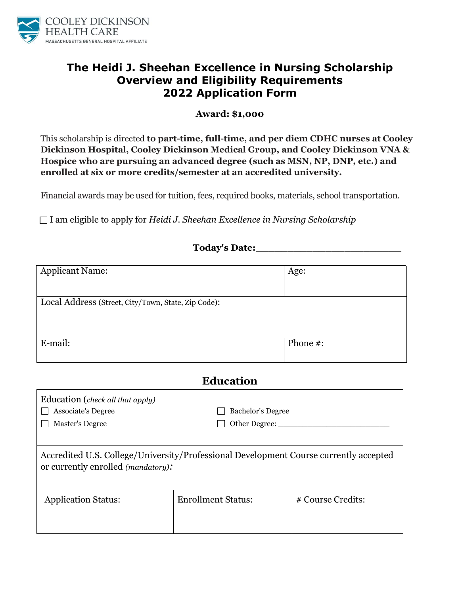

## **The Heidi J. Sheehan Excellence in Nursing Scholarship Overview and Eligibility Requirements 2022 Application Form**

## **Award: \$1,000**

This scholarship is directed **to part-time, full-time, and per diem CDHC nurses at Cooley Dickinson Hospital, Cooley Dickinson Medical Group, and Cooley Dickinson VNA & Hospice who are pursuing an advanced degree (such as MSN, NP, DNP, etc.) and enrolled at six or more credits/semester at an accredited university.**

Financial awards may be used for tuition, fees, required books, materials, school transportation.

I am eligible to apply for *Heidi J. Sheehan Excellence in Nursing Scholarship*

| <b>Today's Date:</b> |  |
|----------------------|--|
|                      |  |

| <b>Applicant Name:</b>                              | Age:     |
|-----------------------------------------------------|----------|
| Local Address (Street, City/Town, State, Zip Code): |          |
| E-mail:                                             | Phone #: |

## **Education**

| Education (check all that apply)<br><b>Associate's Degree</b><br>Master's Degree                                                    | <b>Bachelor's Degree</b><br>Other Degree: |                   |  |  |
|-------------------------------------------------------------------------------------------------------------------------------------|-------------------------------------------|-------------------|--|--|
| Accredited U.S. College/University/Professional Development Course currently accepted<br>or currently enrolled <i>(mandatory)</i> : |                                           |                   |  |  |
| <b>Application Status:</b>                                                                                                          | <b>Enrollment Status:</b>                 | # Course Credits: |  |  |